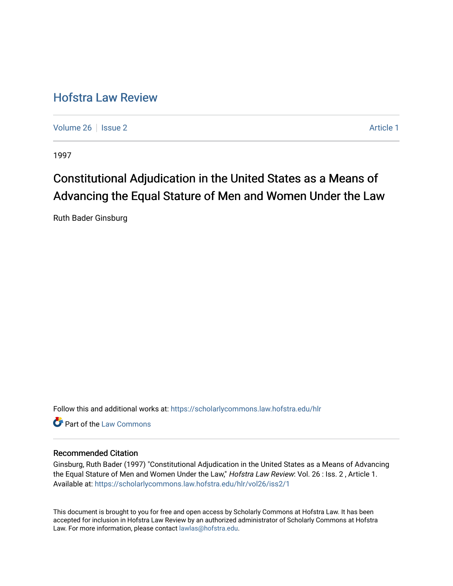# [Hofstra Law Review](https://scholarlycommons.law.hofstra.edu/hlr)

[Volume 26](https://scholarlycommons.law.hofstra.edu/hlr/vol26) | [Issue 2](https://scholarlycommons.law.hofstra.edu/hlr/vol26/iss2) Article 1

1997

# Constitutional Adjudication in the United States as a Means of Advancing the Equal Stature of Men and Women Under the Law

Ruth Bader Ginsburg

Follow this and additional works at: [https://scholarlycommons.law.hofstra.edu/hlr](https://scholarlycommons.law.hofstra.edu/hlr?utm_source=scholarlycommons.law.hofstra.edu%2Fhlr%2Fvol26%2Fiss2%2F1&utm_medium=PDF&utm_campaign=PDFCoverPages)

**C** Part of the [Law Commons](http://network.bepress.com/hgg/discipline/578?utm_source=scholarlycommons.law.hofstra.edu%2Fhlr%2Fvol26%2Fiss2%2F1&utm_medium=PDF&utm_campaign=PDFCoverPages)

## Recommended Citation

Ginsburg, Ruth Bader (1997) "Constitutional Adjudication in the United States as a Means of Advancing the Equal Stature of Men and Women Under the Law," Hofstra Law Review: Vol. 26 : Iss. 2, Article 1. Available at: [https://scholarlycommons.law.hofstra.edu/hlr/vol26/iss2/1](https://scholarlycommons.law.hofstra.edu/hlr/vol26/iss2/1?utm_source=scholarlycommons.law.hofstra.edu%2Fhlr%2Fvol26%2Fiss2%2F1&utm_medium=PDF&utm_campaign=PDFCoverPages)

This document is brought to you for free and open access by Scholarly Commons at Hofstra Law. It has been accepted for inclusion in Hofstra Law Review by an authorized administrator of Scholarly Commons at Hofstra Law. For more information, please contact [lawlas@hofstra.edu.](mailto:lawlas@hofstra.edu)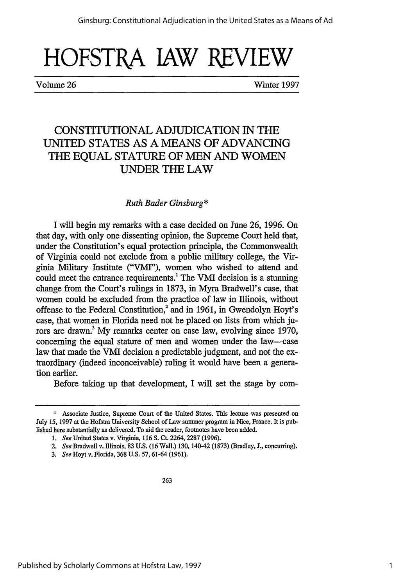Volume 26 Winter 1997

## CONSTITUTIONAL ADJUDICATION IN THE UNITED STATES AS A MEANS OF ADVANCING THE EQUAL STATURE OF MEN AND WOMEN UNDER **THE** LAW

### *Ruth Bader Ginsburg\**

I will begin my remarks with a case decided on June 26, 1996. On that day, with only one dissenting opinion, the Supreme Court held that, under the Constitution's equal protection principle, the Commonwealth of Virginia could not exclude from a public military college, the Virginia Military Institute ("VMI"), women who wished to attend and could meet the entrance requirements.' The VMI decision is a stunning change from the Court's rulings in 1873, in Myra Bradwell's case, that women could be excluded from the practice of law in Illinois, without offense to the Federal Constitution,<sup>2</sup> and in 1961, in Gwendolyn Hoyt's case, that women in Florida need not be placed on lists from which jurors are drawn? My remarks center on case law, evolving since 1970, concerning the equal stature of men and women under the law--case law that made the VMI decision a predictable judgment, and not the extraordinary (indeed inconceivable) ruling it would have been a generation earlier.

Before taking up that development, I will set the stage by com-

**<sup>\*</sup>** Associate Justice, Supreme Court of the United States. This lecture was presented on July **15,** 1997 at the Hofstra University School of Law summer program in Nice, France. It is published here substantially as delivered. To aid the reader, footnotes have been added.

*<sup>1.</sup> See* United States v. Virginia, 116 S. Ct. 2264, 2287 (1996).

*<sup>2.</sup> See* Bradwell v. Illinois, 83 U.S. (16 Wall.) 130, 140-42 (1873) (Bradley, **J.,** concurring).

*<sup>3.</sup> See* Hoyt v. Florida, 368 U.S. 57, 61-64 (1961).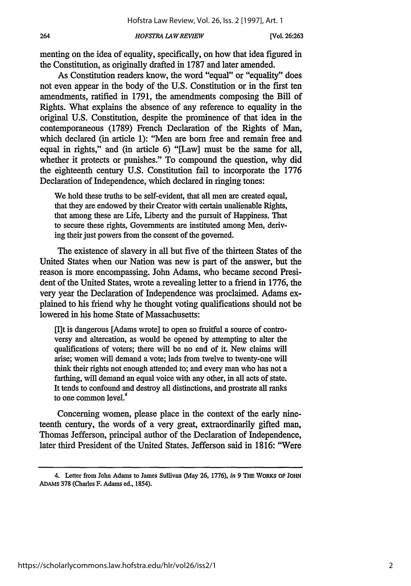264

menting on the idea of equality, specifically, on how that idea figured in the Constitution, as originally drafted in 1787 and later amended.

As Constitution readers know, the word "equal" or "equality" does not even appear in the body of the U.S. Constitution or in the first ten amendments, ratified in 1791, the amendments composing the Bill of Rights. What explains the absence of any reference to equality in the original U.S. Constitution, despite the prominence of that idea in the contemporaneous (1789) French Declaration of the Rights of Man, which declared (in article 1): "Men are born free and remain free and equal in rights," and (in article 6) "[Law] must be the same for all, whether it protects or punishes." To compound the question, why did the eighteenth century U.S. Constitution fail to incorporate the 1776 Declaration of Independence, which declared in ringing tones:

We hold these truths to be self-evident, that all men are created equal, that they are endowed by their Creator with certain unalienable Rights, that among these are Life, Liberty and the pursuit of Happiness. That to secure these rights, Governments are instituted among Men, deriving their just powers from the consent of the governed.

The existence of slavery in all but five of the thirteen States of the United States when our Nation was new is part of the answer, but the reason is more encompassing. John Adams, who became second President of the United States, wrote a revealing letter to a friend in 1776, the very year the Declaration of Independence was proclaimed. Adams explained to his friend why he thought voting qualifications should not be lowered in his home State of Massachusetts:

[I]t is dangerous [Adams wrote] to open so fruitful a source of controversy and altercation, as would be opened by attempting to alter the qualifications of voters; there will be no end of it. New claims will arise; women will demand a vote; lads from twelve to twenty-one will think their rights not enough attended to; and every man who has not a farthing, will demand an equal voice with any other, in all acts of state. It tends to confound and destroy all distinctions, and prostrate all ranks to one common level.<sup>4</sup>

Concerning women, please place in the context of the early nineteenth century, the words of a very great, extraordinarily gifted man, Thomas Jefferson, principal author of the Declaration of Independence, later third President of the United States. Jefferson said in 1816: "Were

<sup>4.</sup> Letter from John Adams to James Sullivan (May **26, 1776),** in **9** THE WORKS **OF** JOHN ADAms 378 (Charles F. Adams ed., 1854).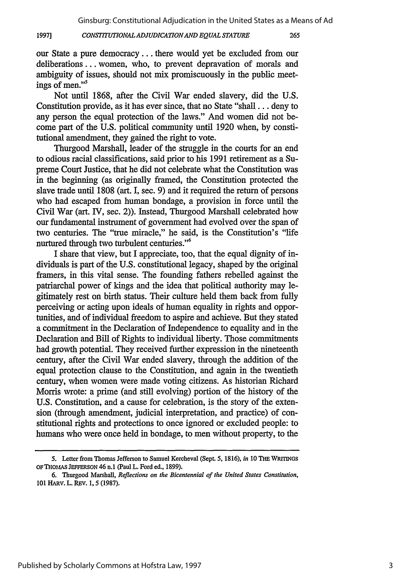#### *CONSTITUTIONAL ADJUDICATIONAND EQUAL STATURE* **1997]**

our State a pure democracy... there would yet be excluded from our deliberations... women, who, to prevent depravation of morals and ambiguity of issues, should not mix promiscuously in the public meetings of men."<sup>5</sup>

Not until 1868, after the Civil War ended slavery, did the U.S. Constitution provide, as it has ever since, that no State "shall... deny to any person the equal protection of the laws." And women did not become part of the U.S. political community until 1920 when, by constitutional amendment, they gained the right to vote.

Thurgood Marshall, leader of the struggle in the courts for an end to odious racial classifications, said prior to his 1991 retirement as a Supreme Court Justice, that he did not celebrate what the Constitution was in the beginning (as originally framed, the Constitution protected the slave trade until 1808 (art. I, sec. 9) and it required the return of persons who had escaped from human bondage, a provision in force until the Civil War (art. IV, sec. 2)). Instead, Thurgood Marshall celebrated how our fundamental instrument of government had evolved over the span of two centuries. The "true miracle," he said, is the Constitution's "life nurtured through two turbulent centuries."<sup>6</sup>

I share that view, but I appreciate, too, that the equal dignity of individuals is part of the U.S. constitutional legacy, shaped by the original framers, in this vital sense. The founding fathers rebelled against the patriarchal power of kings and the idea that political authority may legitimately rest on birth status. Their culture held them back from fully perceiving or acting upon ideals of human equality in rights and opportunities, and of individual freedom to aspire and achieve. But they stated a commitment in the Declaration of Independence to equality and in the Declaration and Bill of Rights to individual liberty. Those commitments had growth potential. They received further expression in the nineteenth century, after the Civil War ended slavery, through the addition of the equal protection clause to the Constitution, and again in the twentieth century, when women were made voting citizens. As historian Richard Morris wrote: a prime (and still evolving) portion of the history of the U.S. Constitution, and a cause for celebration, is the story of the extension (through amendment, judicial interpretation, and practice) of constitutional rights and protections to once ignored or excluded people: to humans who were once held in bondage, to men without property, to the

**<sup>5.</sup>** Letter from Thomas Jefferson **to** Samuel Kercheval (Sept. **5,** 1816), *in* **10** THE **WRITINGS OF** THO As **JEFFERSON** 46 n.1 (Paul L. Ford ed., 1899).

**<sup>6.</sup>** Thurgood Marshall, *Reflections on the Bicentennial of the United States Constitution,* **101** HARV. L. REV. **1, 5 (1987).**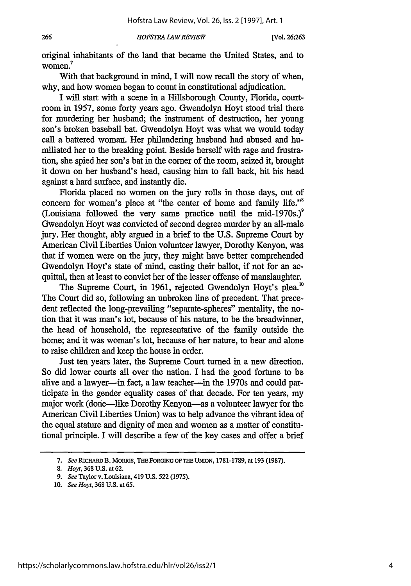original inhabitants of the land that became the United States, and to women.<sup>7</sup>

With that background in mind, I will now recall the story of when, why, and how women began to count in constitutional adjudication.

I will start with a scene in a Hillsborough County, Florida, courtroom in 1957, some forty years ago. Gwendolyn Hoyt stood trial there for murdering her husband; the instrument of destruction, her young son's broken baseball bat. Gwendolyn Hoyt was what we would today call a battered woman. Her philandering husband had abused and humiliated her to the breaking point. Beside herself with rage and frustration, she spied her son's bat in the corner of the room, seized it, brought it down on her husband's head, causing him to fall back, hit his head against a hard surface, and instantly die.

Florida placed no women on the jury rolls in those days, out of concern for women's place at "the center of home and family life."<sup>8</sup> (Louisiana followed the very same practice until the mid-1970s.)<sup>9</sup> Gwendolyn Hoyt was convicted of second degree murder by an all-male jury. Her thought, ably argued in a brief to the U.S. Supreme Court by American Civil Liberties Union volunteer lawyer, Dorothy Kenyon, was that if women were on the jury, they might have better comprehended Gwendolyn Hoyt's state of mind, casting their ballot, if not for an acquittal, then at least to convict her of the lesser offense of manslaughter.

The Supreme Court, in 1961, rejected Gwendolyn Hoyt's plea.<sup>10</sup> The Court did so, following an unbroken line of precedent. That precedent reflected the long-prevailing "separate-spheres" mentality, the notion that it was man's lot, because of his nature, to be the breadwinner, the head of household, the representative of the family outside the home; and it was woman's lot, because of her nature, to bear and alone to raise children and keep the house in order.

Just ten years later, the Supreme Court turned in a new direction. So did lower courts all over the nation. I had the good fortune to be alive and a lawyer-in fact, a law teacher-in the 1970s and could participate in the gender equality cases of that decade. For ten years, my major work (done—like Dorothy Kenyon—as a volunteer lawyer for the American Civil Liberties Union) was to help advance the vibrant idea of the equal stature and dignity of men and women as a matter of constitutional principle. I will describe a few of the key cases and offer a brief

*<sup>7.</sup> See* RICHARD B. **MORRiS, THFORGING OFTHEUtION,** 1781-1789, at **193** (1987).

**<sup>8.</sup>** *Hoyt,* 368 U.S. at **62.**

*<sup>9.</sup> See* Taylor v. Louisiana, 419 **U.S. 522 (1975).**

<sup>10.</sup> *See Hoyt,* **368** U.s. at **65.**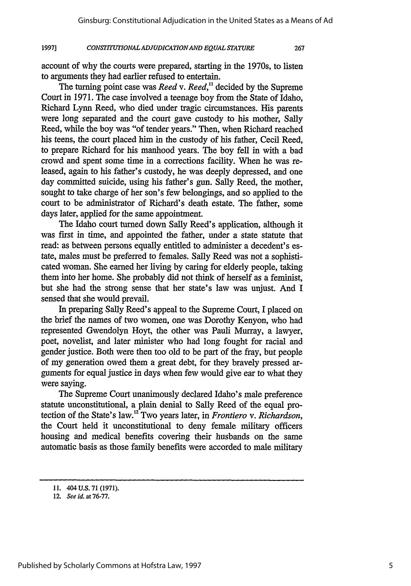267

#### *CONSTITUTIONAL ADJUDICATIONAND EQUAL STATURE* **19971**

account of why the courts were prepared, starting in the 1970s, to listen to arguments they had earlier refused to entertain.

The turning point case was *Reed v. Reed,"* decided by the Supreme Court in 1971. The case involved a teenage boy from the State of Idaho, Richard Lynn Reed, who died under tragic circumstances. His parents were long separated and the court gave custody to his mother, Sally Reed, while the boy was "of tender years." Then, when Richard reached his teens, the court placed him in the custody of his father, Cecil Reed, to prepare Richard for his manhood years. The boy fell in with a bad crowd and spent some time in a corrections facility. When he was released, again to his father's custody, he was deeply depressed, and one day committed suicide, using his father's gun. Sally Reed, the mother, sought to take charge of her son's few belongings, and so applied to the court to be administrator of Richard's death estate. The father, some days later, applied for the same appointment.

The Idaho court turned down Sally Reed's application, although it was first in time, and appointed the father, under a state statute that read: as between persons equally entitled to administer a decedent's estate, males must be preferred to females. Sally Reed was not a sophisticated woman. She earned her living by caring for elderly people, taking them into her home. She probably did not think of herself as a feminist, but she had the strong sense that her state's law was unjust. And I sensed that she would prevail.

In preparing Sally Reed's appeal to the Supreme Court, I placed on the brief the names of two women, one was Dorothy Kenyon, who had represented Gwendolyn Hoyt, the other was Pauli Murray, a lawyer, poet, novelist, and later minister who had long fought for racial and gender justice. Both were then too old to be part of the fray, but people of my generation owed them a great debt, for they bravely pressed arguments for equal justice in days when few would give ear to what they were saying.

The Supreme Court unanimously declared Idaho's male preference statute unconstitutional, a plain denial to Sally Reed of the equal protection of the State's law. 2 Two years later, in *Frontiero v. Richardson,* the Court held it unconstitutional to deny female military officers housing and medical benefits covering their husbands on the same automatic basis as those family benefits were accorded to male military

<sup>11. 404</sup> U.S. 71 (1971).

<sup>12.</sup> *See id.* at **76-77.**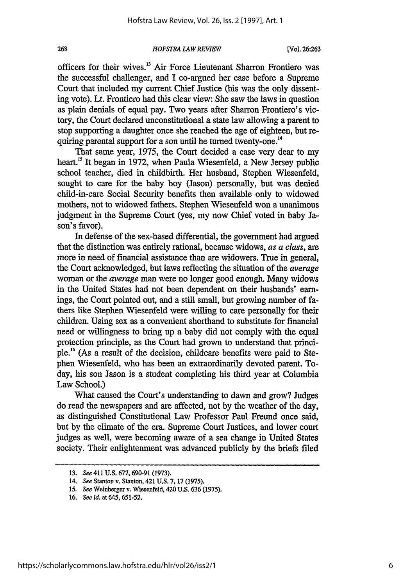officers for their wives.<sup>13</sup> Air Force Lieutenant Sharron Frontiero was the successful challenger, and I co-argued her case before a Supreme Court that included my current Chief Justice (his was the only dissenting vote). Lt. Frontiero had this clear view: She saw the laws in question as plain denials of equal pay. Two years after Sharron Frontiero's victory, the Court declared unconstitutional a state law allowing a parent to stop supporting a daughter once she reached the age of eighteen, but requiring parental support for a son until he turned twenty-one.<sup>14</sup>

That same year, 1975, the Court decided a case very dear to my heart.<sup>15</sup> It began in 1972, when Paula Wiesenfeld, a New Jersey public school teacher, died in childbirth. Her husband, Stephen Wiesenfeld, sought to care for the baby boy (Jason) personally, but was denied child-in-care Social Security benefits then available only to widowed mothers, not to widowed fathers. Stephen Wiesenfeld won a unanimous judgment in the Supreme Court (yes, my now Chief voted in baby Jason's favor).

In defense of the sex-based differential, the government had argued that the distinction was entirely rational, because widows, *as a class,* are more in need of financial assistance than are widowers. True in general, the Court acknowledged, but laws reflecting the situation of the *average* woman or the *average* man were no longer good enough. Many widows in the United States had not been dependent on their husbands' earnings, the Court pointed out, and a still small, but growing number of fathers like Stephen Wiesenfeld were willing to care personally for their children. Using sex as a convenient shorthand to substitute for financial need or willingness to bring up a baby did not comply with the equal protection principle, as the Court had grown to understand that principle.'6 (As a result of the decision, childcare benefits were paid to Stephen Wiesenfeld, who has been an extraordinarily devoted parent. Today, his son Jason is a student completing his third year at Columbia Law School.)

What caused the Court's understanding to dawn and grow? Judges do read the newspapers and are affected, not by the weather of the day, as distinguished Constitutional Law Professor Paul Freund once said, but by the climate of the era. Supreme Court Justices, and lower court judges as well, were becoming aware of a sea change in United States society. Their enlightenment was advanced publicly by the briefs filed

268

<sup>13.</sup> *See* 411 U.S. 677, 690-91 (1973).

<sup>14.</sup> *See* Stanton *v.* Stanton, 421 U.S. 7, 17 (1975).

<sup>15.</sup> *See* Weinberger v. Wiesenfeld, 420 U.S. 636 (1975).

<sup>16.</sup> *See id.* at 645, 651-52.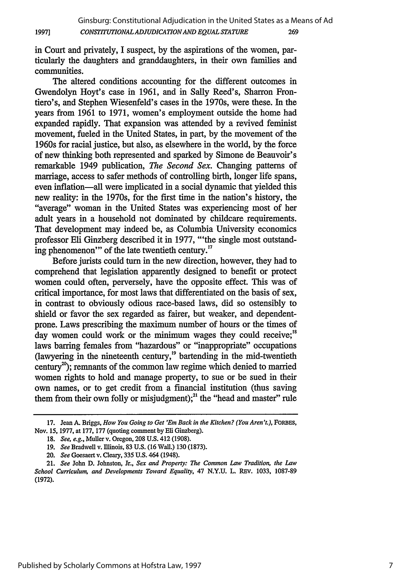in Court and privately, I suspect, by the aspirations of the women, particularly the daughters and granddaughters, in their own families and communities.

**1997]**

The altered conditions accounting for the different outcomes in Gwendolyn Hoyt's case in 1961, and in Sally Reed's, Sharron Frontiero's, and Stephen Wiesenfeld's cases in the 1970s, were these. In the years from 1961 to 1971, women's employment outside the home had expanded rapidly. That expansion was attended by a revived feminist movement, fueled in the United States, in part, by the movement of the 1960s for racial justice, but also, as elsewhere in the world, by the force of new thinking both represented and sparked by Simone de Beauvoir's remarkable 1949 publication, *The Second Sex.* Changing patterns of marriage, access to safer methods of controlling birth, longer life spans, even inflation-all were implicated in a social dynamic that yielded this new reality: in the 1970s, for the first time in the nation's history, the "average" woman in the United States was experiencing most of her adult years in a household not dominated by childcare requirements. That development may indeed be, as Columbia University economics professor Eli Ginzberg described it in 1977, "'the single most outstanding phenomenon'" of the late twentieth century.<sup>17</sup>

Before jurists could turn in the new direction, however, they had to comprehend that legislation apparently designed to benefit or protect women could often, perversely, have the opposite effect. This was of critical importance, for most laws that differentiated on the basis of sex, in contrast to obviously odious race-based laws, did so ostensibly to shield or favor the sex regarded as fairer, but weaker, and dependentprone. Laws prescribing the maximum number of hours or the times of day women could work or the minimum wages they could receive;<sup>18</sup> laws barring females from "hazardous" or "inappropriate" occupations (lawyering in the nineteenth century,<sup>19</sup> bartending in the mid-twentieth century<sup>20</sup>); remnants of the common law regime which denied to married women rights to hold and manage property, to sue or be sued in their own names, or to get credit from a financial institution (thus saving them from their own folly or misjudgment);<sup>21</sup> the "head and master" rule

<sup>17.</sup> Jean A. Briggs, *How You Going to Get 'Em Back in the Kitchen? (You Aren't.),* FoRBEs, Nov. 15, 1977, at 177, 177 (quoting comment by Eli Ginzberg).

**<sup>18.</sup>** *See, e.g.,* Muller v. Oregon, 208 U.S. 412 (1908).

<sup>19.</sup> *See* Bradwell v. Illinois, 83 U.S. (16 Wall.) 130 (1873).

*<sup>20.</sup> See* Goesaert v. Cleary, 335 U.S. 464 (1948).

<sup>21.</sup> *See* John **D.** Johnston, Jr., *Sex and Property: The Common Law Tradition, the Law School Curriculum, and Developments Toward Equality,* 47 N.Y.U. L. REV. 1033, 1087-89 (1972).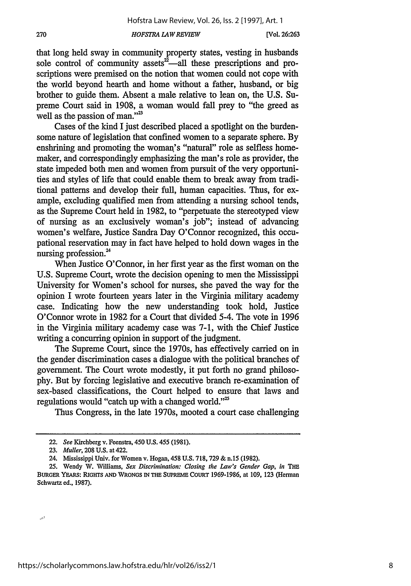that long held sway in community property states, vesting in husbands sole control of community assets $2\tilde{a}$ —all these prescriptions and proscriptions were premised on the notion that women could not cope with the world beyond hearth and home without a father, husband, or big brother to guide them. Absent a male relative to lean on, the U.S. Supreme Court said in 1908, a woman would fall prey to "the greed as well as the passion of man."<sup>23</sup>

Cases of the kind I just described placed a spotlight on the burdensome nature of legislation that confined women to a separate sphere. By enshrining and promoting the woman's "natural" role as selfless homemaker, and correspondingly emphasizing the man's role as provider, the state impeded both men and women from pursuit of the very opportunities and styles of life that could enable them to break away from traditional patterns and develop their full, human capacities. Thus, for example, excluding qualified men from attending a nursing school tends, as the Supreme Court held in 1982, to "perpetuate the stereotyped view of nursing as an exclusively woman's job"; instead of advancing women's welfare, Justice Sandra Day O'Connor recognized, this occupational reservation may in fact have helped to hold down wages in the nursing profession.<sup>24</sup>

When Justice O'Connor, in her first year as the first woman on the U.S. Supreme Court, wrote the decision opening to men the Mississippi University for Women's school for nurses, she paved the way for the opinion I wrote fourteen years later in the Virginia military academy case. Indicating how the new understanding took hold, Justice O'Connor wrote in 1982 for a Court that divided 5-4. The vote in 1996 in the Virginia military academy case was 7-1, with the Chief Justice writing a concurring opinion in support of the judgment.

The Supreme Court, since the 1970s, has effectively carried on in the gender discrimination cases a dialogue with the political branches of government. The Court wrote modestly, it put forth no grand philosophy. But by forcing legislative and executive branch re-examination of sex-based classifications, the Court helped to ensure that laws and regulations would "catch up with a changed world." $25$ 

Thus Congress, in the late 1970s, mooted a court case challenging

ر.

270

<sup>22.</sup> *See* Kirchberg v. Feenstra, 450 U.S. 455 (1981).

**<sup>23.</sup>** *Muller,* **208** U.S. at 422.

<sup>24.</sup> Mississippi Univ. for Women v. Hogan, 458 **U.S.** 718,729 & n.15 (1982).

<sup>25.</sup> Wendy W. Williams, *Sex Discrimination: Closing the Law's Gender Gap, in* THE BURGER YEARS: RIGHTs **AND** WRONGS **IN THE SUPREME COURT** 1969-1986, at 109, **123** (Herman Schwartz ed., 1987).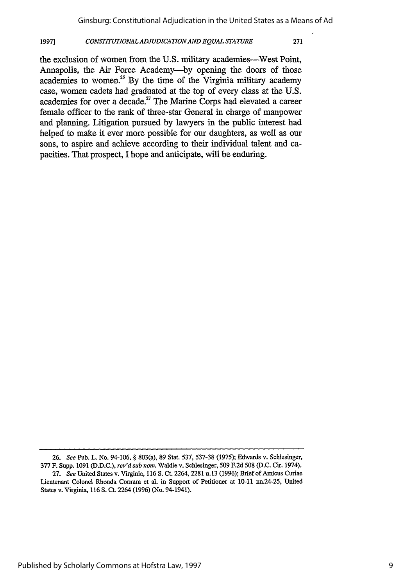#### *CONSTITUTIONALADJUDICATIONAND EQUAL STATURE* **1997]**

the exclusion of women from the U.S. military academies—West Point, Annapolis, the Air Force Academy--by opening the doors of those academies to women.<sup>26</sup> By the time of the Virginia military academy case, women cadets had graduated at the top of every class at the **U.S.** academies for over a decade.<sup>27</sup> The Marine Corps had elevated a career female officer to the rank of three-star General in charge of manpower and planning. Litigation pursued **by** lawyers in the public interest had helped to make it ever more possible for our daughters, as well as our sons, to aspire and achieve according to their individual talent and capacities. That prospect, **I** hope and anticipate, will be enduring.

<sup>26.</sup> *See* Pub. L. No. 94-106, § 803(a), 89 Stat. **537, 537-38** (1975); Edwards v. Schlesinger, 377 F. Supp. 1091 (D.D.C.), *rev'd sub nom* Waldie v. Schlesinger, 509 F.2d **508** (D.C. Cir. 1974). 27. *See* United States v. Virginia, 116 **S.** Ct. 2264,2281 n.13 (1996); Brief of Amicus Curiae

Lieutenant Colonel Rhonda Cornum et al. in Support of Petitioner at **10-11** nn.24-25, United States v. Virginia, 116 S. Ct. 2264 (1996) (No. 94-1941).